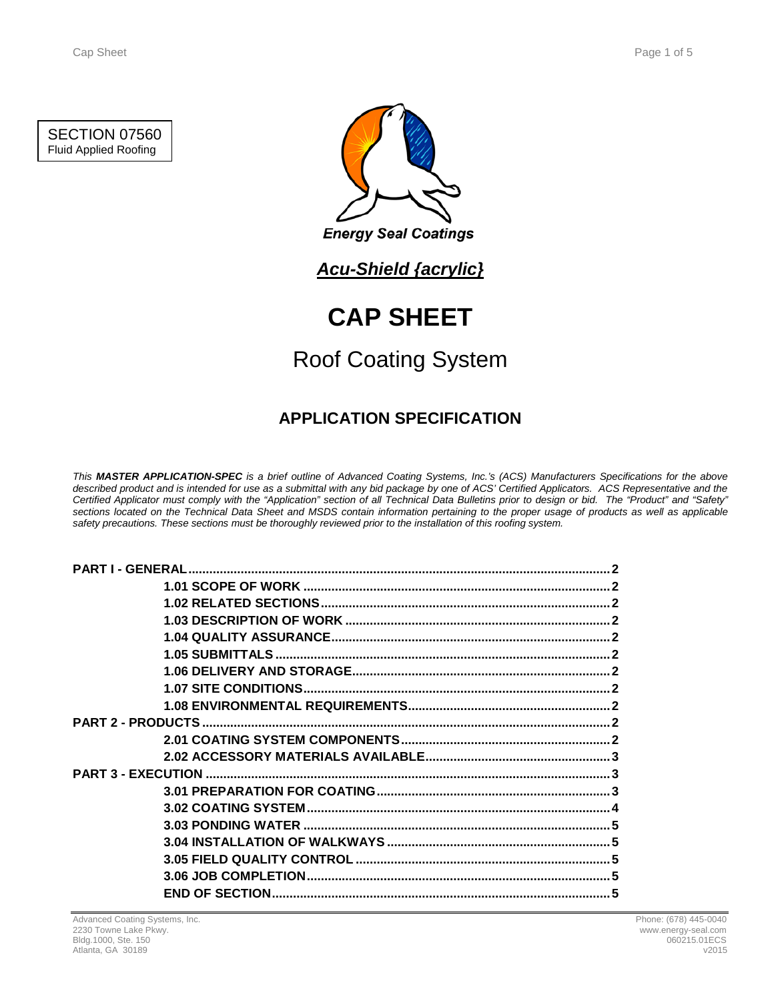### SECTION 07560 Fluid Applied Roofing



**Energy Seal Coatings** 

## *Acu-Shield {acrylic}*

# **CAP SHEET**

# Roof Coating System

## **APPLICATION SPECIFICATION**

*This MASTER APPLICATION-SPEC is a brief outline of Advanced Coating Systems, Inc.'s (ACS) Manufacturers Specifications for the above described product and is intended for use as a submittal with any bid package by one of ACS' Certified Applicators. ACS Representative and the Certified Applicator must comply with the "Application" section of all Technical Data Bulletins prior to design or bid. The "Product" and "Safety" sections located on the Technical Data Sheet and MSDS contain information pertaining to the proper usage of products as well as applicable safety precautions. These sections must be thoroughly reviewed prior to the installation of this roofing system.*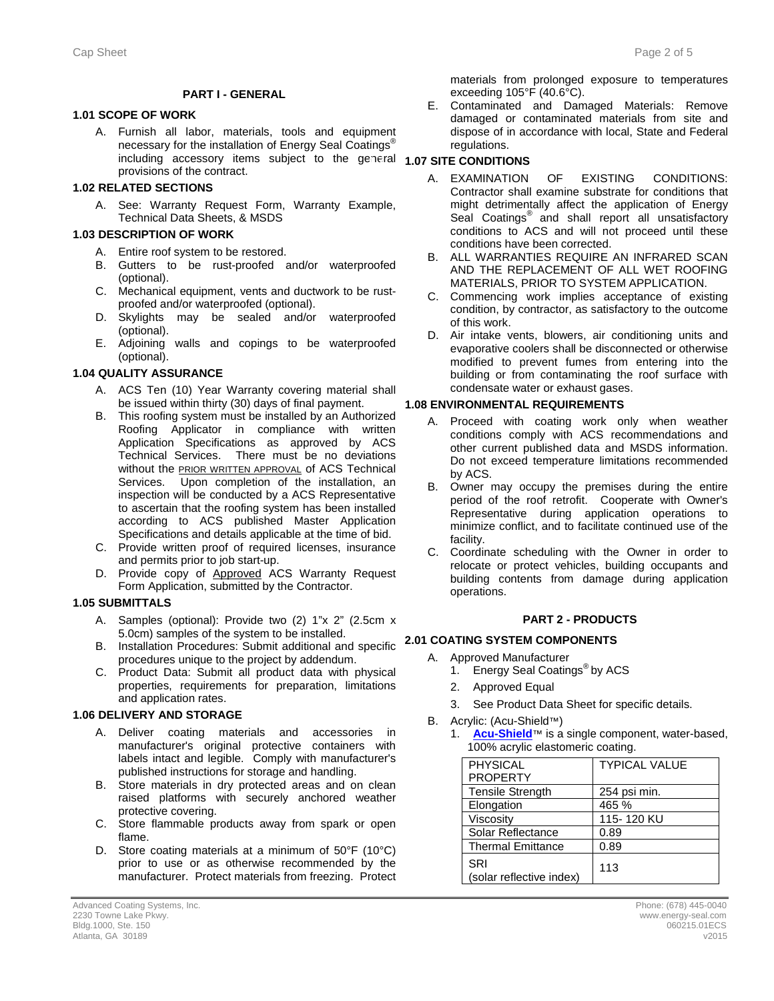#### **PART I - GENERAL**

#### **1.1 1.01 SCOPE OF WORK**

A. Furnish all labor, materials, tools and equipment necessary for the installation of Energy Seal Coatings® including accessory items subject to the general **1.07 SITE CONDITIONS** provisions of the contract.

#### **1.2 1.02 RELATED SECTIONS**

A. See: Warranty Request Form, Warranty Example, Technical Data Sheets, & MSDS

#### **1.3 1.03 DESCRIPTION OF WORK**

- A. Entire roof system to be restored.
- B. Gutters to be rust-proofed and/or waterproofed (optional).
- C. Mechanical equipment, vents and ductwork to be rustproofed and/or waterproofed (optional).
- D. Skylights may be sealed and/or waterproofed (optional).
- E. Adjoining walls and copings to be waterproofed (optional).

#### **1.4 1.04 QUALITY ASSURANCE**

- A. ACS Ten (10) Year Warranty covering material shall be issued within thirty (30) days of final payment.
- B. This roofing system must be installed by an Authorized Roofing Applicator in compliance with written Application Specifications as approved by ACS Technical Services. There must be no deviations without the **PRIOR WRITTEN APPROVAL** of ACS Technical Services. Upon completion of the installation, an inspection will be conducted by a ACS Representative to ascertain that the roofing system has been installed according to ACS published Master Application Specifications and details applicable at the time of bid.
- C. Provide written proof of required licenses, insurance and permits prior to job start-up.
- D. Provide copy of Approved ACS Warranty Request Form Application, submitted by the Contractor.

#### **1.5 1.05 SUBMITTALS**

- A. Samples (optional): Provide two (2) 1"x 2" (2.5cm x 5.0cm) samples of the system to be installed. 5.0cm) samples of the system to be installed.
- B. Installation Procedures: Submit additional and specific **2.1 2.01 COATING SYSTEM COMPONENTS** procedures unique to the project by addendum.
- C. Product Data: Submit all product data with physical properties, requirements for preparation, limitations and application rates.

#### **1.6 1.06 DELIVERY AND STORAGE**

- A. Deliver coating materials and accessories in manufacturer's original protective containers with labels intact and legible. Comply with manufacturer's published instructions for storage and handling.
- B. Store materials in dry protected areas and on clean raised platforms with securely anchored weather protective covering.
- C. Store flammable products away from spark or open flame.
- D. Store coating materials at a minimum of 50°F (10°C) prior to use or as otherwise recommended by the manufacturer. Protect materials from freezing. Protect

materials from prolonged exposure to temperatures exceeding 105°F (40.6°C).

E. Contaminated and Damaged Materials: Remove damaged or contaminated materials from site and dispose of in accordance with local, State and Federal regulations.

- A. EXAMINATION OF EXISTING CONDITIONS: Contractor shall examine substrate for conditions that might detrimentally affect the application of Energy Seal Coatings<sup>®</sup> and shall report all unsatisfactory conditions to ACS and will not proceed until these conditions have been corrected.
- B. ALL WARRANTIES REQUIRE AN INFRARED SCAN AND THE REPLACEMENT OF ALL WET ROOFING MATERIALS, PRIOR TO SYSTEM APPLICATION.
- C. Commencing work implies acceptance of existing condition, by contractor, as satisfactory to the outcome of this work.
- D. Air intake vents, blowers, air conditioning units and evaporative coolers shall be disconnected or otherwise modified to prevent fumes from entering into the building or from contaminating the roof surface with condensate water or exhaust gases.

#### **1.8 1.08 ENVIRONMENTAL REQUIREMENTS**

- A. Proceed with coating work only when weather conditions comply with ACS recommendations and other current published data and MSDS information. Do not exceed temperature limitations recommended by ACS.
- B. Owner may occupy the premises during the entire period of the roof retrofit. Cooperate with Owner's Representative during application operations to minimize conflict, and to facilitate continued use of the facility.
- C. Coordinate scheduling with the Owner in order to relocate or protect vehicles, building occupants and building contents from damage during application operations.

#### **2 PART 2 - PRODUCTS**

- A. Approved Manufacturer
	- 1. Energy Seal Coatings<sup>®</sup> by ACS
	- 2. Approved Equal
	- 3. See Product Data Sheet for specific details.
- B. Acrylic: (Acu-Shield™)
	- [Acu-Shield](http://www.energy-seal.com/UserDyn/ACS/pdfs/acu-shield.pdf)<sup>™</sup> is a single component, water-based, 100% acrylic elastomeric coating.

| <b>PHYSICAL</b>                 | <b>TYPICAL VALUE</b> |
|---------------------------------|----------------------|
| <b>PROPERTY</b>                 |                      |
| <b>Tensile Strength</b>         | 254 psi min.         |
| Elongation                      | 465 %                |
| Viscosity                       | 115-120 KU           |
| Solar Reflectance               | 0.89                 |
| <b>Thermal Emittance</b>        | 0.89                 |
| SRI<br>(solar reflective index) | 113                  |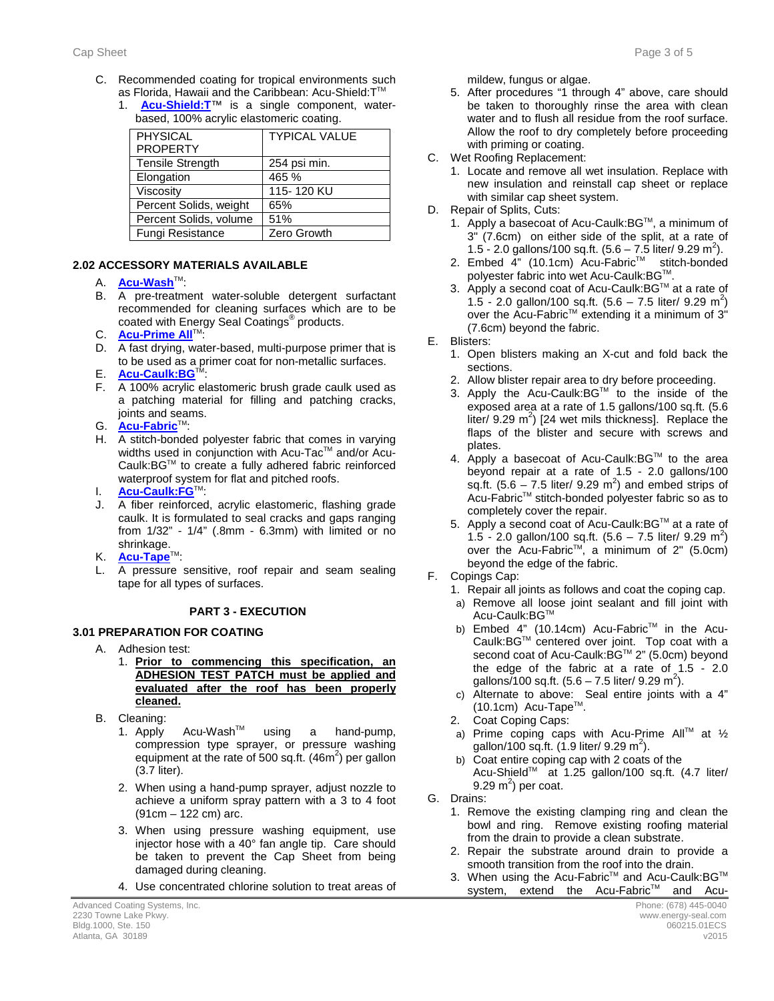- C. Recommended coating for tropical environments such as Florida, Hawaii and the Caribbean: Acu-Shield: T™
	- 1. **[Acu-Shield:T](http://www.energy-seal.com/UserDyn/ACS/pdfs/acu-shield-t.pdf)**™ is a single component, waterbased, 100% acrylic elastomeric coating.

| <b>PHYSICAL</b>        | <b>TYPICAL VALUE</b> |
|------------------------|----------------------|
| <b>PROPERTY</b>        |                      |
| Tensile Strength       | 254 psi min.         |
| Elongation             | 465 %                |
| Viscosity              | 115-120 KU           |
| Percent Solids, weight | 65%                  |
| Percent Solids, volume | 51%                  |
| Fungi Resistance       | Zero Growth          |
|                        |                      |

#### **2.2 2.02 ACCESSORY MATERIALS AVAILABLE**

- A. **[Acu-Wash](http://www.energy-seal.com/UserDyn/ACS/pdfs/acu-wash.pdf)™:**
- B. A pre-treatment water-soluble detergent surfactant recommended for cleaning surfaces which are to be coated with Energy Seal Coatings® products.
- C. **[Acu-Prime](http://www.energy-seal.com/UserDyn/ACS/pdfs/acu-prime%20all.pdf) All**™:
- D. A fast drying, water-based, multi-purpose primer that is to be used as a primer coat for non-metallic surfaces.
- E. **[Acu-Caulk:BG](http://www.energy-seal.com/UserDyn/ACS/pdfs/acu-caulk_bg.pdf)**TM:
- F. A 100% acrylic elastomeric brush grade caulk used as a patching material for filling and patching cracks, joints and seams.
- G. **[Acu-Fabric](http://www.energy-seal.com/UserDyn/ACS/pdfs/acu-fabric-sb.pdf)**™:
- H. A stitch-bonded polyester fabric that comes in varying widths used in conjunction with Acu-Tac™ and/or Acu-Caulk:BGTM to create a fully adhered fabric reinforced waterproof system for flat and pitched roofs.
- I. **[Acu-Caulk:FG](http://www.energy-seal.com/UserDyn/ACS/pdfs/acu-caulk_fg.pdf)**TM:
- J. A fiber reinforced, acrylic elastomeric, flashing grade caulk. It is formulated to seal cracks and gaps ranging from 1/32" - 1/4" (.8mm - 6.3mm) with limited or no shrinkage.
- K. **[Acu-Tape](http://www.energy-seal.com/UserDyn/ACS/pdfs/acu-tape.pdf)**TM:
- L. A pressure sensitive, roof repair and seam sealing tape for all types of surfaces.

#### **3 PART 3 - EXECUTION**

#### **3.1 3.01 PREPARATION FOR COATING**

- A. Adhesion test:
	- 1. **Prior to commencing this specification, an ADHESION TEST PATCH must be applied and evaluated after the roof has been properly cleaned.**
- B. Cleaning:
	- 1. Apply Acu-Wash<sup>™</sup> using a hand-pump, compression type sprayer, or pressure washing equipment at the rate of 500 sq.ft.  $(46m^2)$  per gallon (3.7 liter).
	- 2. When using a hand-pump sprayer, adjust nozzle to achieve a uniform spray pattern with a 3 to 4 foot (91cm – 122 cm) arc.
	- 3. When using pressure washing equipment, use injector hose with a 40° fan angle tip. Care should be taken to prevent the Cap Sheet from being damaged during cleaning.
	- 4. Use concentrated chlorine solution to treat areas of

mildew, fungus or algae.

- 5. After procedures "1 through 4" above, care should be taken to thoroughly rinse the area with clean water and to flush all residue from the roof surface. Allow the roof to dry completely before proceeding with priming or coating.
- C. Wet Roofing Replacement:
	- 1. Locate and remove all wet insulation. Replace with new insulation and reinstall cap sheet or replace with similar cap sheet system.
- D. Repair of Splits, Cuts:
	- 1. Apply a basecoat of Acu-Caulk: BG™, a minimum of 3" (7.6cm) on either side of the split, at a rate of 1.5 - 2.0 gallons/100 sq.ft.  $(5.6 - 7.5)$  liter/ 9.29 m<sup>2</sup>).
	- 2. Embed 4" (10.1cm) Acu-Fabric™ stitch-bonded polyester fabric into wet Acu-Caulk: BG™.
	- 3. Apply a second coat of Acu-Caulk: BG™ at a rate of 1.5 - 2.0 gallon/100 sq.ft.  $(5.6 - 7.5$  liter/ 9.29 m<sup>2</sup>) over the Acu-Fabric<sup>™</sup> extending it a minimum of 3<sup>"</sup> (7.6cm) beyond the fabric.
- E. Blisters:
	- 1. Open blisters making an X-cut and fold back the sections.
	- 2. Allow blister repair area to dry before proceeding.
	- 3. Apply the Acu-Caulk:BG™ to the inside of the exposed area at a rate of 1.5 gallons/100 sq.ft. (5.6 liter/  $9.29 \text{ m}^2$ ) [24 wet mils thickness]. Replace the flaps of the blister and secure with screws and plates.
	- 4. Apply a basecoat of Acu-Caulk:BGTM to the area beyond repair at a rate of 1.5 - 2.0 gallons/100 sq.ft.  $(5.6 - 7.5$  liter/ 9.29 m<sup>2</sup>) and embed strips of Acu-FabricTM stitch-bonded polyester fabric so as to completely cover the repair.
	- 5. Apply a second coat of Acu-Caulk: BG™ at a rate of 1.5 - 2.0 gallon/100 sq.ft.  $(5.6 - 7.5$  liter/ 9.29 m<sup>2</sup>) over the Acu-Fabric<sup>TM</sup>, a minimum of  $2^{\prime\prime}$  (5.0cm) beyond the edge of the fabric.
- F. Copings Cap:
	- 1. Repair all joints as follows and coat the coping cap.
	- a) Remove all loose joint sealant and fill joint with Acu-Caulk:BG™
	- b) Embed 4" (10.14cm) Acu-Fabric™ in the Acu-Caulk:BG™ centered over joint. Top coat with a second coat of Acu-Caulk:BG™ 2" (5.0cm) beyond the edge of the fabric at a rate of 1.5 - 2.0 gallons/100 sq.ft. (5.6 – 7.5 liter/ 9.29 m<sup>2</sup>).
	- c) Alternate to above: Seal entire joints with a 4" (10.1cm) Acu-Tape<sup>™</sup>.
	- 2. Coat Coping Caps:
	- a) Prime coping caps with Acu-Prime All<sup>TM</sup> at  $\frac{1}{2}$ gallon/100 sq.ft.  $(1.9 \text{ liter/ } 9.29 \text{ m}^2)$ .
	- b) Coat entire coping cap with 2 coats of the Acu-Shield™ at 1.25 gallon/100 sq.ft. (4.7 liter/ 9.29 m<sup>2</sup>) per coat.
- G. Drains:
	- 1. Remove the existing clamping ring and clean the bowl and ring. Remove existing roofing material from the drain to provide a clean substrate.
	- 2. Repair the substrate around drain to provide a smooth transition from the roof into the drain.
	- 3. When using the Acu-Fabric™ and Acu-Caulk:BG™ system, extend the Acu-Fabric™ and Acu-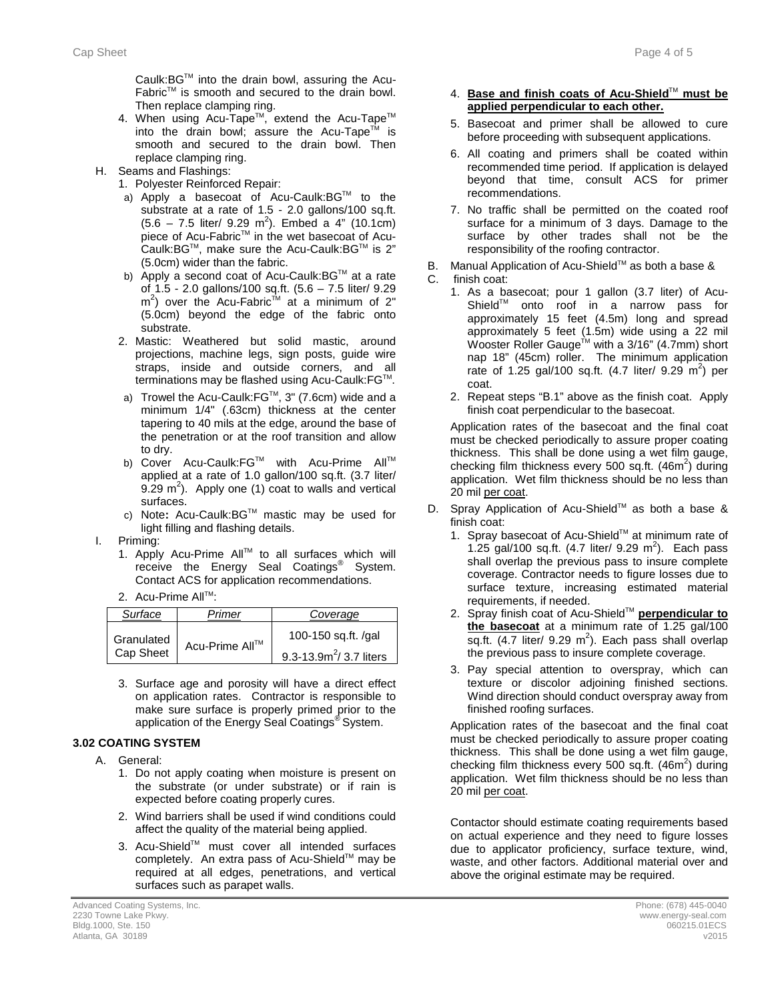Caulk:BGTM into the drain bowl, assuring the Acu-FabricTM is smooth and secured to the drain bowl. Then replace clamping ring.

- 4. When using Acu-Tape™, extend the Acu-Tape™ into the drain bowl; assure the Acu-Tape<sup>TM</sup> is smooth and secured to the drain bowl. Then replace clamping ring.
- H. Seams and Flashings:
	- 1. Polyester Reinforced Repair:
	- a) Apply a basecoat of Acu-Caulk: BG™ to the substrate at a rate of 1.5 - 2.0 gallons/100 sq.ft.  $(5.6 - 7.5$  liter/ 9.29 m<sup>2</sup>). Embed a 4" (10.1cm) piece of Acu-Fabric™ in the wet basecoat of Acu-.<br>Caulk:BG™, make sure the Acu-Caulk:BG™ is 2" (5.0cm) wider than the fabric.
	- b) Apply a second coat of Acu-Caulk: BG™ at a rate of 1.5 - 2.0 gallons/100 sq.ft. (5.6 – 7.5 liter/ 9.29  $m<sup>2</sup>$ ) over the Acu-Fabric<sup>tim</sup> at a minimum of 2" (5.0cm) beyond the edge of the fabric onto substrate.
	- 2. Mastic: Weathered but solid mastic, around projections, machine legs, sign posts, guide wire straps, inside and outside corners, and all terminations may be flashed using Acu-Caulk: FG™.
	- a) Trowel the Acu-Caulk:FG™, 3" (7.6cm) wide and a minimum 1/4" (.63cm) thickness at the center tapering to 40 mils at the edge, around the base of the penetration or at the roof transition and allow to dry.
	- b) Cover Acu-Caulk:FG™ with Acu-Prime All™ applied at a rate of 1.0 gallon/100 sq.ft. (3.7 liter/ 9.29  $m^2$ ). Apply one (1) coat to walls and vertical surfaces.
	- c) Note**:** Acu-Caulk:BGTM mastic may be used for light filling and flashing details.
- I. Priming:
	- 1. Apply Acu-Prime All™ to all surfaces which will receive the Energy Seal Coatings<sup>®</sup> System. Contact ACS for application recommendations.
	- 2. Acu-Prime All™:

| Surface                 | Primer         | Coverage                                           |
|-------------------------|----------------|----------------------------------------------------|
| Granulated<br>Cap Sheet | Acu-Prime All™ | 100-150 sq.ft. /gal<br>9.3-13.9 $m^2$ / 3.7 liters |

3. Surface age and porosity will have a direct effect on application rates. Contractor is responsible to make sure surface is properly primed prior to the application of the Energy Seal Coatings® System.

### **3.2 3.02 COATING SYSTEM**

- A. General:
	- 1. Do not apply coating when moisture is present on the substrate (or under substrate) or if rain is expected before coating properly cures.
	- 2. Wind barriers shall be used if wind conditions could affect the quality of the material being applied.
	- 3. Acu-Shield™ must cover all intended surfaces completely. An extra pass of Acu-Shield™ may be required at all edges, penetrations, and vertical surfaces such as parapet walls.

#### 4. **Base and finish coats of Acu-Shield**TM **must be applied perpendicular to each other.**

- 5. Basecoat and primer shall be allowed to cure before proceeding with subsequent applications.
- 6. All coating and primers shall be coated within recommended time period. If application is delayed beyond that time, consult ACS for primer recommendations.
- 7. No traffic shall be permitted on the coated roof surface for a minimum of 3 days. Damage to the surface by other trades shall not be the responsibility of the roofing contractor.
- B. Manual Application of Acu-Shield™ as both a base &
- C. finish coat:
	- 1. As a basecoat; pour 1 gallon (3.7 liter) of Acu-ShieldTM onto roof in a narrow pass for approximately 15 feet (4.5m) long and spread approximately 5 feet (1.5m) wide using a 22 mil Wooster Roller Gauge™ with a 3/16" (4.7mm) short nap 18" (45cm) roller. The minimum application rate of 1.25 gal/100 sq.ft.  $(4.7 \text{ liter/ } 9.29 \text{ m}^2)$  per coat.
	- 2. Repeat steps "B.1" above as the finish coat. Apply finish coat perpendicular to the basecoat.

Application rates of the basecoat and the final coat must be checked periodically to assure proper coating thickness. This shall be done using a wet film gauge, checking film thickness every 500 sq.ft.  $(46m^2)$  during application. Wet film thickness should be no less than 20 mil per coat.

- D. Spray Application of Acu-Shield™ as both a base & finish coat:
	- 1. Spray basecoat of Acu-Shield™ at minimum rate of 1.25 gal/100 sq.ft.  $(4.7 \text{ liter/ } 9.29 \text{ m}^2)$ . Each pass shall overlap the previous pass to insure complete coverage. Contractor needs to figure losses due to surface texture, increasing estimated material requirements, if needed.
	- 2. Spray finish coat of Acu-Shield™ **perpendicular to the basecoat** at a minimum rate of 1.25 gal/100 sq.ft.  $(4.7$  liter/ 9.29 m<sup>2</sup>). Each pass shall overlap the previous pass to insure complete coverage.
	- 3. Pay special attention to overspray, which can texture or discolor adjoining finished sections. Wind direction should conduct overspray away from finished roofing surfaces.

Application rates of the basecoat and the final coat must be checked periodically to assure proper coating thickness. This shall be done using a wet film gauge, checking film thickness every 500 sq.ft.  $(46m^2)$  during application. Wet film thickness should be no less than 20 mil per coat.

Contactor should estimate coating requirements based on actual experience and they need to figure losses due to applicator proficiency, surface texture, wind, waste, and other factors. Additional material over and above the original estimate may be required.